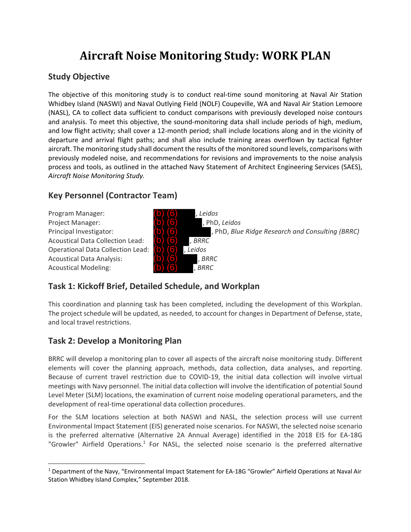# **Aircraft Noise Monitoring Study: WORK PLAN**

## **Study Objective**

The objective of this monitoring study is to conduct real-time sound monitoring at Naval Air Station Whidbey Island (NASWI) and Naval Outlying Field (NOLF) Coupeville, WA and Naval Air Station Lemoore (NASL), CA to collect data sufficient to conduct comparisons with previously developed noise contours and analysis. To meet this objective, the sound‐monitoring data shall include periods of high, medium, and low flight activity; shall cover a 12‐month period; shall include locations along and in the vicinity of departure and arrival flight paths; and shall also include training areas overflown by tactical fighter aircraft. The monitoring study shall document the results of the monitored sound levels, comparisons with previously modeled noise, and recommendations for revisions and improvements to the noise analysis process and tools, as outlined in the attached Navy Statement of Architect Engineering Services (SAES), *Aircraft Noise Monitoring Study.*

# **Key Personnel (Contractor Team)**

Program Manager: **(b) (6)**, *Leidos* Project Manager: **(b) (6)** , PhD, Leidos Acoustical Data Collection Lead: **(b) (6)**, BRRC Operational Data Collection Lead: **(b) (6)**, Leidos Acoustical Data Analysis: **(b) (6)** *BRRC* Acoustical Modeling: **(b) (6)**, *BRRC* 



# **Task 1: Kickoff Brief, Detailed Schedule, and Workplan**

This coordination and planning task has been completed, including the development of this Workplan. The project schedule will be updated, as needed, to account for changes in Department of Defense, state, and local travel restrictions.

# **Task 2: Develop a Monitoring Plan**

BRRC will develop a monitoring plan to cover all aspects of the aircraft noise monitoring study. Different elements will cover the planning approach, methods, data collection, data analyses, and reporting. Because of current travel restriction due to COVID‐19, the initial data collection will involve virtual meetings with Navy personnel. The initial data collection will involve the identification of potential Sound Level Meter (SLM) locations, the examination of current noise modeling operational parameters, and the development of real‐time operational data collection procedures.

For the SLM locations selection at both NASWI and NASL, the selection process will use current Environmental Impact Statement (EIS) generated noise scenarios. For NASWI, the selected noise scenario is the preferred alternative (Alternative 2A Annual Average) identified in the 2018 EIS for EA‐18G "Growler" Airfield Operations.<sup>1</sup> For NASL, the selected noise scenario is the preferred alternative

<sup>1</sup> Department of the Navy, "Environmental Impact Statement for EA‐18G "Growler" Airfield Operations at Naval Air Station Whidbey Island Complex," September 2018.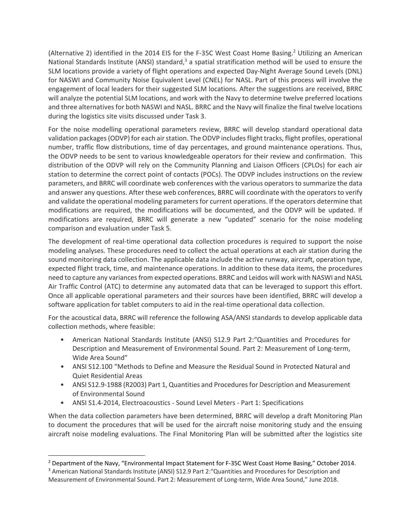(Alternative 2) identified in the 2014 EIS for the F-35C West Coast Home Basing.<sup>2</sup> Utilizing an American National Standards Institute (ANSI) standard, $3$  a spatial stratification method will be used to ensure the SLM locations provide a variety of flight operations and expected Day‐Night Average Sound Levels (DNL) for NASWI and Community Noise Equivalent Level (CNEL) for NASL. Part of this process will involve the engagement of local leaders for their suggested SLM locations. After the suggestions are received, BRRC will analyze the potential SLM locations, and work with the Navy to determine twelve preferred locations and three alternatives for both NASWI and NASL. BRRC and the Navy will finalize the final twelve locations during the logistics site visits discussed under Task 3.

For the noise modelling operational parameters review, BRRC will develop standard operational data validation packages (ODVP) for each air station. The ODVP includes flight tracks, flight profiles, operational number, traffic flow distributions, time of day percentages, and ground maintenance operations. Thus, the ODVP needs to be sent to various knowledgeable operators for their review and confirmation. This distribution of the ODVP will rely on the Community Planning and Liaison Officers (CPLOs) for each air station to determine the correct point of contacts (POCs). The ODVP includes instructions on the review parameters, and BRRC will coordinate web conferences with the various operators to summarize the data and answer any questions. After these web conferences, BRRC will coordinate with the operators to verify and validate the operational modeling parameters for current operations. If the operators determine that modifications are required, the modifications will be documented, and the ODVP will be updated. If modifications are required, BRRC will generate a new "updated" scenario for the noise modeling comparison and evaluation under Task 5.

The development of real-time operational data collection procedures is required to support the noise modeling analyses. These procedures need to collect the actual operations at each air station during the sound monitoring data collection. The applicable data include the active runway, aircraft, operation type, expected flight track, time, and maintenance operations. In addition to these data items, the procedures need to capture any variances from expected operations. BRRC and Leidos will work with NASWI and NASL Air Traffic Control (ATC) to determine any automated data that can be leveraged to support this effort. Once all applicable operational parameters and their sources have been identified, BRRC will develop a software application for tablet computers to aid in the real-time operational data collection.

For the acoustical data, BRRC will reference the following ASA/ANSI standards to develop applicable data collection methods, where feasible:

- American National Standards Institute (ANSI) S12.9 Part 2:"Quantities and Procedures for Description and Measurement of Environmental Sound. Part 2: Measurement of Long-term, Wide Area Sound"
- ANSI S12.100 "Methods to Define and Measure the Residual Sound in Protected Natural and Quiet Residential Areas
- ANSI S12.9-1988 (R2003) Part 1, Quantities and Procedures for Description and Measurement of Environmental Sound
- ANSI S1.4‐2014, Electroacoustics ‐ Sound Level Meters ‐ Part 1: Specifications

When the data collection parameters have been determined, BRRC will develop a draft Monitoring Plan to document the procedures that will be used for the aircraft noise monitoring study and the ensuing aircraft noise modeling evaluations. The Final Monitoring Plan will be submitted after the logistics site

<sup>&</sup>lt;sup>2</sup> Department of the Navy, "Environmental Impact Statement for F-35C West Coast Home Basing," October 2014.

<sup>3</sup> American National Standards Institute (ANSI) S12.9 Part 2:"Quantities and Procedures for Description and Measurement of Environmental Sound. Part 2: Measurement of Long-term, Wide Area Sound," June 2018.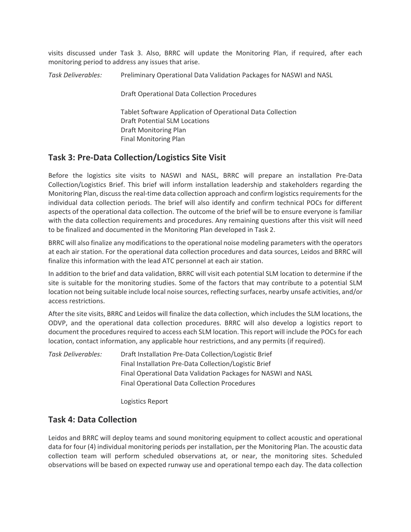visits discussed under Task 3. Also, BRRC will update the Monitoring Plan, if required, after each monitoring period to address any issues that arise.

*Task Deliverables:* Preliminary Operational Data Validation Packages for NASWI and NASL

Draft Operational Data Collection Procedures

 Tablet Software Application of Operational Data Collection Draft Potential SLM Locations Draft Monitoring Plan Final Monitoring Plan

#### **Task 3: Pre‐Data Collection/Logistics Site Visit**

Before the logistics site visits to NASWI and NASL, BRRC will prepare an installation Pre‐Data Collection/Logistics Brief. This brief will inform installation leadership and stakeholders regarding the Monitoring Plan, discuss the real-time data collection approach and confirm logistics requirements for the individual data collection periods. The brief will also identify and confirm technical POCs for different aspects of the operational data collection. The outcome of the brief will be to ensure everyone is familiar with the data collection requirements and procedures. Any remaining questions after this visit will need to be finalized and documented in the Monitoring Plan developed in Task 2.

BRRC will also finalize any modifications to the operational noise modeling parameters with the operators at each air station. For the operational data collection procedures and data sources, Leidos and BRRC will finalize this information with the lead ATC personnel at each air station.

In addition to the brief and data validation, BRRC will visit each potential SLM location to determine if the site is suitable for the monitoring studies. Some of the factors that may contribute to a potential SLM location not being suitable include local noise sources, reflecting surfaces, nearby unsafe activities, and/or access restrictions.

After the site visits, BRRC and Leidos will finalize the data collection, which includes the SLM locations, the ODVP, and the operational data collection procedures. BRRC will also develop a logistics report to document the procedures required to access each SLM location. This report will include the POCs for each location, contact information, any applicable hour restrictions, and any permits (if required).

*Task Deliverables:* Draft Installation Pre‐Data Collection/Logistic Brief Final Installation Pre‐Data Collection/Logistic Brief Final Operational Data Validation Packages for NASWI and NASL Final Operational Data Collection Procedures

Logistics Report

#### **Task 4: Data Collection**

Leidos and BRRC will deploy teams and sound monitoring equipment to collect acoustic and operational data for four (4) individual monitoring periods per installation, per the Monitoring Plan. The acoustic data collection team will perform scheduled observations at, or near, the monitoring sites. Scheduled observations will be based on expected runway use and operational tempo each day. The data collection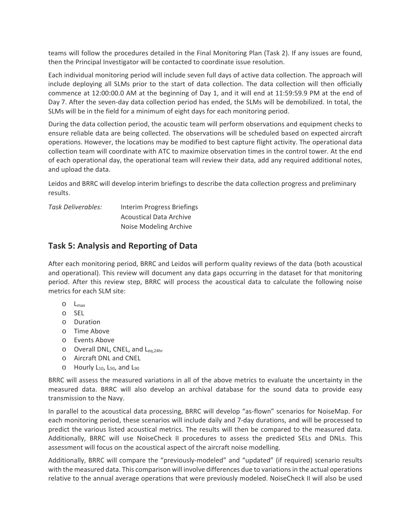teams will follow the procedures detailed in the Final Monitoring Plan (Task 2). If any issues are found, then the Principal Investigator will be contacted to coordinate issue resolution.

Each individual monitoring period will include seven full days of active data collection. The approach will include deploying all SLMs prior to the start of data collection. The data collection will then officially commence at 12:00:00.0 AM at the beginning of Day 1, and it will end at 11:59:59.9 PM at the end of Day 7. After the seven-day data collection period has ended, the SLMs will be demobilized. In total, the SLMs will be in the field for a minimum of eight days for each monitoring period.

During the data collection period, the acoustic team will perform observations and equipment checks to ensure reliable data are being collected. The observations will be scheduled based on expected aircraft operations. However, the locations may be modified to best capture flight activity. The operational data collection team will coordinate with ATC to maximize observation times in the control tower. At the end of each operational day, the operational team will review their data, add any required additional notes, and upload the data.

Leidos and BRRC will develop interim briefings to describe the data collection progress and preliminary results.

*Task Deliverables:* Interim Progress Briefings Acoustical Data Archive Noise Modeling Archive

## **Task 5: Analysis and Reporting of Data**

After each monitoring period, BRRC and Leidos will perform quality reviews of the data (both acoustical and operational). This review will document any data gaps occurring in the dataset for that monitoring period. After this review step, BRRC will process the acoustical data to calculate the following noise metrics for each SLM site:

- o Lmax
- o SEL
- o Duration
- o Time Above
- o Events Above
- $\circ$  Overall DNL, CNEL, and L<sub>eq.24hr</sub>
- o Aircraft DNL and CNEL
- $\circ$  Hourly L<sub>10</sub>, L<sub>50</sub>, and L<sub>90</sub>

BRRC will assess the measured variations in all of the above metrics to evaluate the uncertainty in the measured data. BRRC will also develop an archival database for the sound data to provide easy transmission to the Navy.

In parallel to the acoustical data processing, BRRC will develop "as-flown" scenarios for NoiseMap. For each monitoring period, these scenarios will include daily and 7-day durations, and will be processed to predict the various listed acoustical metrics. The results will then be compared to the measured data. Additionally, BRRC will use NoiseCheck II procedures to assess the predicted SELs and DNLs. This assessment will focus on the acoustical aspect of the aircraft noise modelling.

Additionally, BRRC will compare the "previously-modeled" and "updated" (if required) scenario results with the measured data. This comparison will involve differences due to variations in the actual operations relative to the annual average operations that were previously modeled. NoiseCheck II will also be used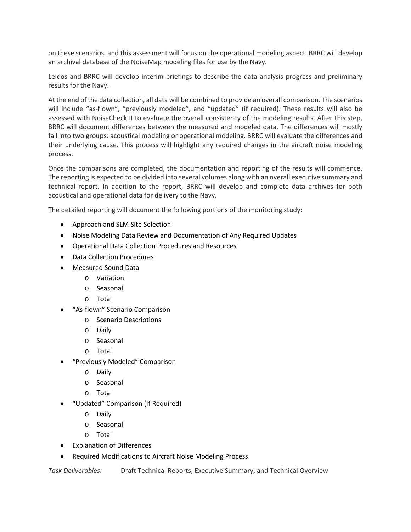on these scenarios, and this assessment will focus on the operational modeling aspect. BRRC will develop an archival database of the NoiseMap modeling files for use by the Navy.

Leidos and BRRC will develop interim briefings to describe the data analysis progress and preliminary results for the Navy.

At the end of the data collection, all data will be combined to provide an overall comparison. The scenarios will include "as-flown", "previously modeled", and "updated" (if required). These results will also be assessed with NoiseCheck II to evaluate the overall consistency of the modeling results. After this step, BRRC will document differences between the measured and modeled data. The differences will mostly fall into two groups: acoustical modeling or operational modeling. BRRC will evaluate the differences and their underlying cause. This process will highlight any required changes in the aircraft noise modeling process.

Once the comparisons are completed, the documentation and reporting of the results will commence. The reporting is expected to be divided into several volumes along with an overall executive summary and technical report. In addition to the report, BRRC will develop and complete data archives for both acoustical and operational data for delivery to the Navy.

The detailed reporting will document the following portions of the monitoring study:

- Approach and SLM Site Selection
- Noise Modeling Data Review and Documentation of Any Required Updates
- Operational Data Collection Procedures and Resources
- Data Collection Procedures
- Measured Sound Data
	- o Variation
	- o Seasonal
	- o Total
- "As‐flown" Scenario Comparison
	- o Scenario Descriptions
	- o Daily
	- o Seasonal
	- o Total
- "Previously Modeled" Comparison
	- o Daily
	- o Seasonal
	- o Total
- "Updated" Comparison (If Required)
	- o Daily
	- o Seasonal
	- o Total
- Explanation of Differences
- Required Modifications to Aircraft Noise Modeling Process

*Task Deliverables:* Draft Technical Reports, Executive Summary, and Technical Overview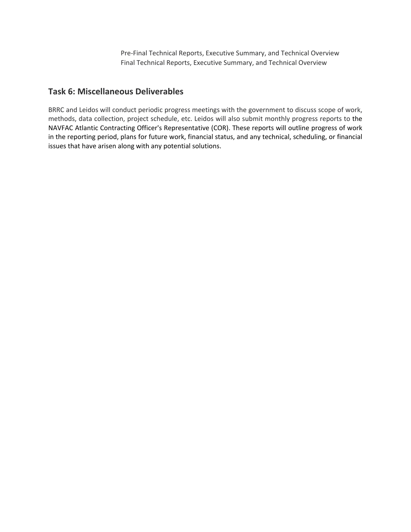Pre‐Final Technical Reports, Executive Summary, and Technical Overview Final Technical Reports, Executive Summary, and Technical Overview

### **Task 6: Miscellaneous Deliverables**

BRRC and Leidos will conduct periodic progress meetings with the government to discuss scope of work, methods, data collection, project schedule, etc. Leidos will also submit monthly progress reports to the NAVFAC Atlantic Contracting Officer's Representative (COR). These reports will outline progress of work in the reporting period, plans for future work, financial status, and any technical, scheduling, or financial issues that have arisen along with any potential solutions.